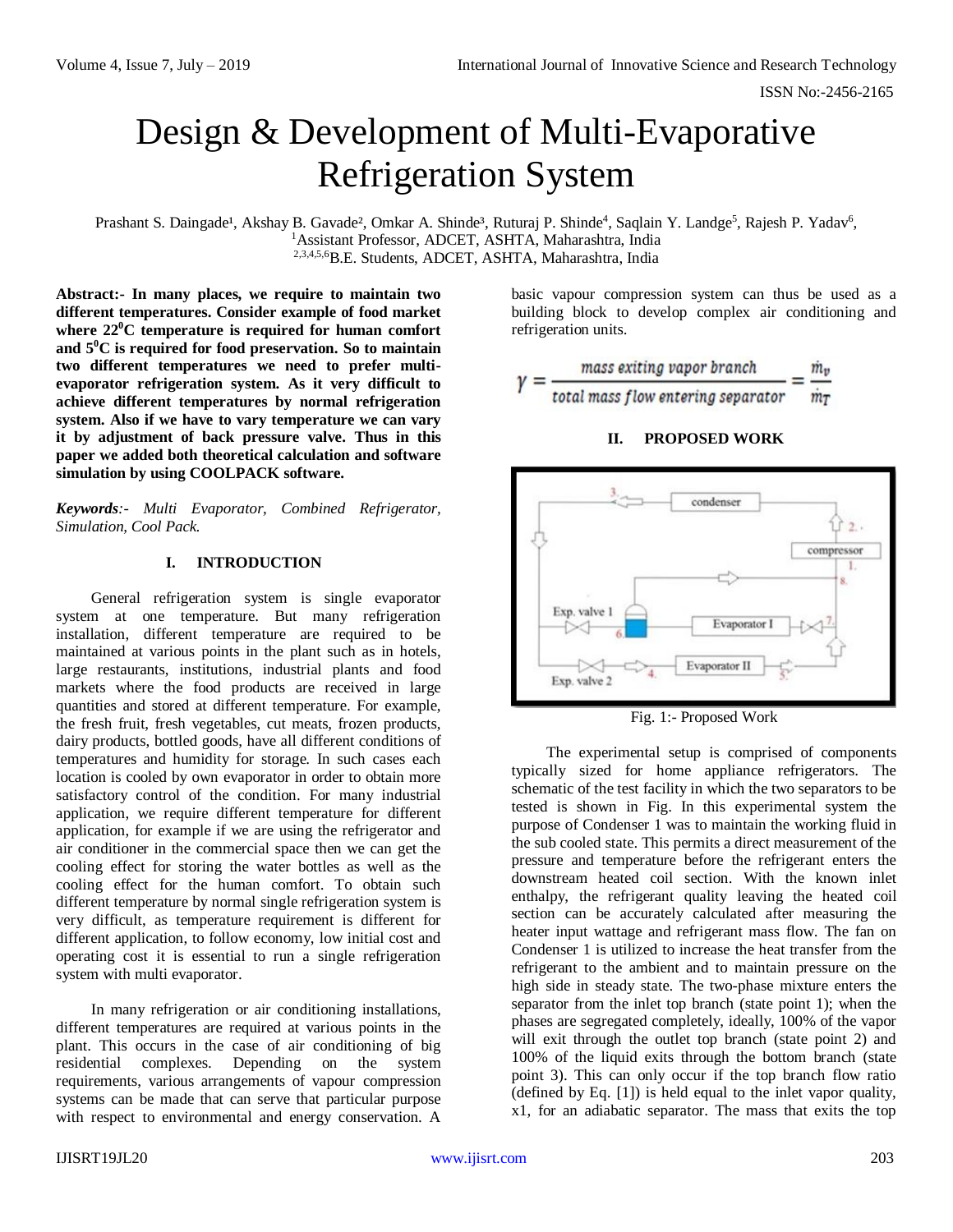# Design & Development of Multi-Evaporative Refrigeration System

Prashant S. Daingade<sup>1</sup>, Akshay B. Gavade<sup>2</sup>, Omkar A. Shinde<sup>3</sup>, Ruturaj P. Shinde<sup>4</sup>, Saqlain Y. Landge<sup>5</sup>, Rajesh P. Yadav<sup>6</sup>, <sup>1</sup>Assistant Professor, ADCET, ASHTA, Maharashtra, India 2,3,4,5,6B.E. Students, ADCET, ASHTA, Maharashtra, India

**Abstract:- In many places, we require to maintain two different temperatures. Consider example of food market where 22<sup>0</sup>C temperature is required for human comfort and 5<sup>0</sup>C is required for food preservation. So to maintain two different temperatures we need to prefer multievaporator refrigeration system. As it very difficult to achieve different temperatures by normal refrigeration system. Also if we have to vary temperature we can vary it by adjustment of back pressure valve. Thus in this paper we added both theoretical calculation and software simulation by using COOLPACK software.** 

*Keywords:- Multi Evaporator, Combined Refrigerator, Simulation, Cool Pack.*

# **I. INTRODUCTION**

General refrigeration system is single evaporator system at one temperature. But many refrigeration installation, different temperature are required to be maintained at various points in the plant such as in hotels, large restaurants, institutions, industrial plants and food markets where the food products are received in large quantities and stored at different temperature. For example, the fresh fruit, fresh vegetables, cut meats, frozen products, dairy products, bottled goods, have all different conditions of temperatures and humidity for storage. In such cases each location is cooled by own evaporator in order to obtain more satisfactory control of the condition. For many industrial application, we require different temperature for different application, for example if we are using the refrigerator and air conditioner in the commercial space then we can get the cooling effect for storing the water bottles as well as the cooling effect for the human comfort. To obtain such different temperature by normal single refrigeration system is very difficult, as temperature requirement is different for different application, to follow economy, low initial cost and operating cost it is essential to run a single refrigeration system with multi evaporator.

In many refrigeration or air conditioning installations, different temperatures are required at various points in the plant. This occurs in the case of air conditioning of big residential complexes. Depending on the system requirements, various arrangements of vapour compression systems can be made that can serve that particular purpose with respect to environmental and energy conservation. A basic vapour compression system can thus be used as a building block to develop complex air conditioning and refrigeration units.



# **II. PROPOSED WORK**



Fig. 1:- Proposed Work

The experimental setup is comprised of components typically sized for home appliance refrigerators. The schematic of the test facility in which the two separators to be tested is shown in Fig. In this experimental system the purpose of Condenser 1 was to maintain the working fluid in the sub cooled state. This permits a direct measurement of the pressure and temperature before the refrigerant enters the downstream heated coil section. With the known inlet enthalpy, the refrigerant quality leaving the heated coil section can be accurately calculated after measuring the heater input wattage and refrigerant mass flow. The fan on Condenser 1 is utilized to increase the heat transfer from the refrigerant to the ambient and to maintain pressure on the high side in steady state. The two-phase mixture enters the separator from the inlet top branch (state point 1); when the phases are segregated completely, ideally, 100% of the vapor will exit through the outlet top branch (state point 2) and 100% of the liquid exits through the bottom branch (state point 3). This can only occur if the top branch flow ratio (defined by Eq. [1]) is held equal to the inlet vapor quality, x1, for an adiabatic separator. The mass that exits the top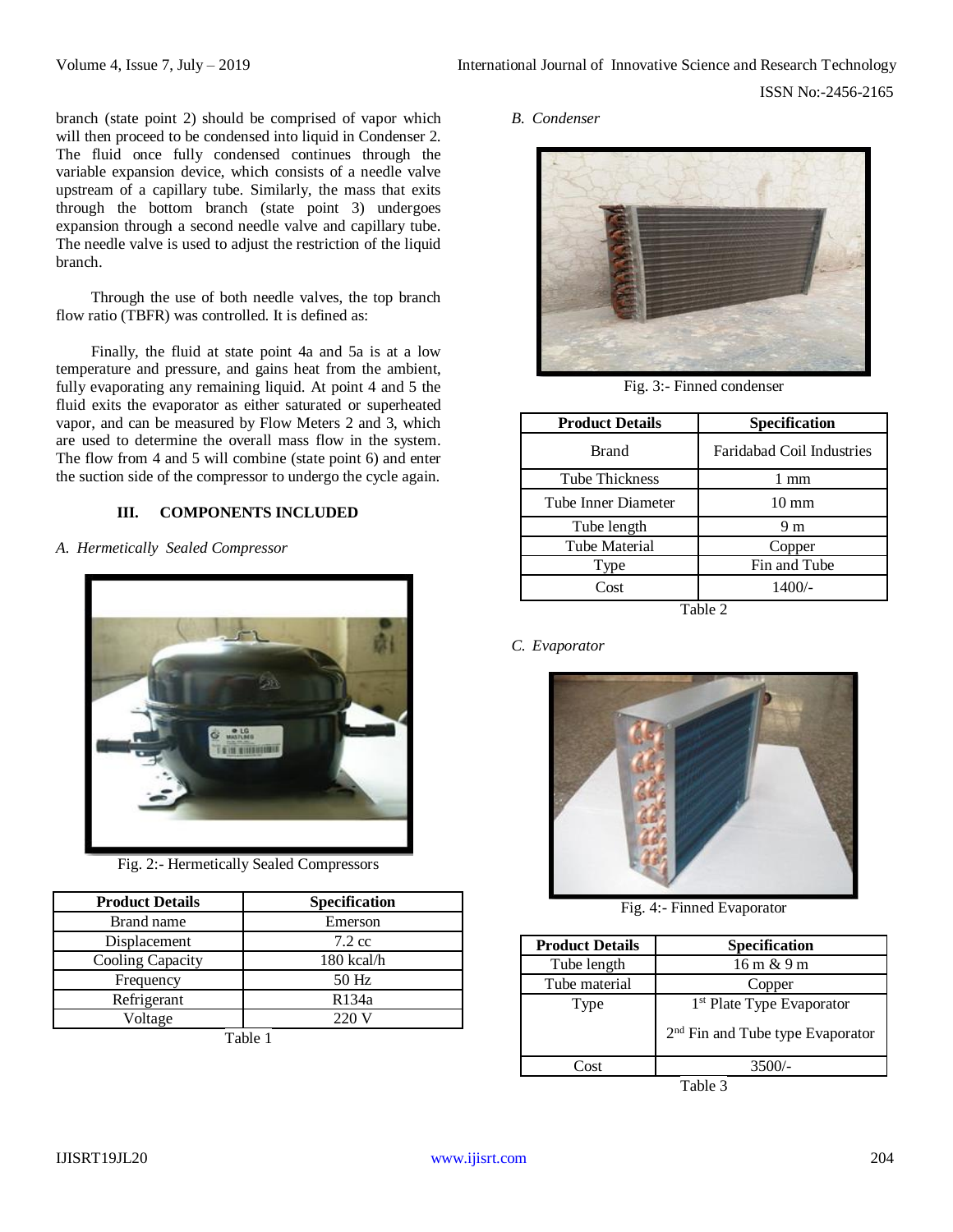branch (state point 2) should be comprised of vapor which will then proceed to be condensed into liquid in Condenser 2. The fluid once fully condensed continues through the variable expansion device, which consists of a needle valve upstream of a capillary tube. Similarly, the mass that exits through the bottom branch (state point 3) undergoes expansion through a second needle valve and capillary tube. The needle valve is used to adjust the restriction of the liquid branch.

Through the use of both needle valves, the top branch flow ratio (TBFR) was controlled. It is defined as:

Finally, the fluid at state point 4a and 5a is at a low temperature and pressure, and gains heat from the ambient, fully evaporating any remaining liquid. At point 4 and 5 the fluid exits the evaporator as either saturated or superheated vapor, and can be measured by Flow Meters 2 and 3, which are used to determine the overall mass flow in the system. The flow from 4 and 5 will combine (state point 6) and enter the suction side of the compressor to undergo the cycle again.

# **III. COMPONENTS INCLUDED**

*A. Hermetically Sealed Compressor*



Fig. 2:- Hermetically Sealed Compressors

| <b>Product Details</b> | Specification    |
|------------------------|------------------|
| Brand name             | Emerson          |
| Displacement           | $7.2 \text{ cc}$ |
| Cooling Capacity       | $180$ kcal/h     |
| Frequency              | 50 Hz            |
| Refrigerant            | R134a            |
| Voltage                | 220V             |

Table 1

*B. Condenser*



Fig. 3:- Finned condenser

| <b>Product Details</b> | <b>Specification</b>             |
|------------------------|----------------------------------|
| <b>Brand</b>           | <b>Faridabad Coil Industries</b> |
| <b>Tube Thickness</b>  | 1 mm                             |
| Tube Inner Diameter    | $10 \text{ mm}$                  |
| Tube length            | 9 m                              |
| <b>Tube Material</b>   | Copper                           |
| Type                   | Fin and Tube                     |
| Cost                   | $1400/-$                         |
| Table 2                |                                  |

*C. Evaporator*



Fig. 4:- Finned Evaporator

| <b>Product Details</b> | <b>Specification</b>                                                                  |
|------------------------|---------------------------------------------------------------------------------------|
| Tube length            | 16 m & 9 m                                                                            |
| Tube material          | Copper                                                                                |
| Type                   | 1 <sup>st</sup> Plate Type Evaporator<br>2 <sup>nd</sup> Fin and Tube type Evaporator |
| '∩ct                   |                                                                                       |

Table 3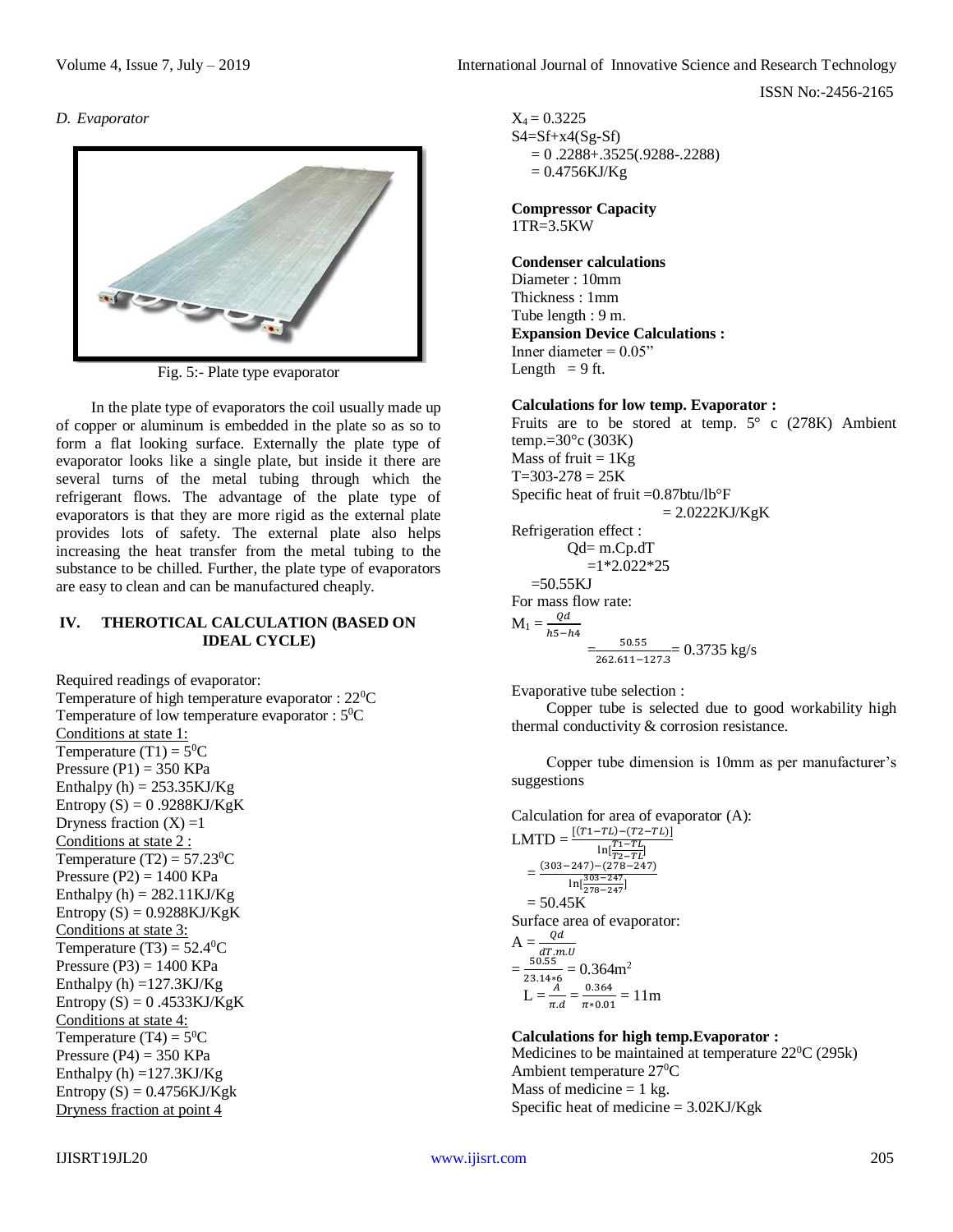ISSN No:-2456-2165

#### *D. Evaporator*



Fig. 5:- Plate type evaporator

In the plate type of evaporators the coil usually made up of copper or aluminum is embedded in the plate so as so to form a flat looking surface. Externally the plate type of evaporator looks like a single plate, but inside it there are several turns of the metal tubing through which the refrigerant flows. The advantage of the plate type of evaporators is that they are more rigid as the external plate provides lots of safety. The external plate also helps increasing the heat transfer from the metal tubing to the substance to be chilled. Further, the plate type of evaporators are easy to clean and can be manufactured cheaply.

# **IV. THEROTICAL CALCULATION (BASED ON IDEAL CYCLE)**

Required readings of evaporator: Temperature of high temperature evaporator : 22<sup>0</sup>C Temperature of low temperature evaporator :  $5^0C$ Conditions at state 1: Temperature (T1) =  $5^0C$ Pressure  $(P1) = 350$  KPa Enthalpy  $(h) = 253.35 \text{KJ/Kg}$ Entropy  $(S) = 0.9288KJ/KgK$ Dryness fraction  $(X) = 1$ Conditions at state 2 : Temperature (T2) =  $57.23^{\circ}$ C Pressure  $(P2) = 1400$  KPa Enthalpy  $(h) = 282.11$ KJ/Kg Entropy  $(S) = 0.9288KJ/KgK$ Conditions at state 3: Temperature  $(T3) = 52.4$ <sup>o</sup>C Pressure  $(P3) = 1400$  KPa Enthalpy  $(h) = 127.3KJ/Kg$ Entropy  $(S) = 0.4533KJ/KgK$ Conditions at state 4: Temperature (T4) =  $5^0C$ Pressure  $(P4) = 350$  KPa Enthalpy (h)  $=127.3$ KJ/Kg Entropy  $(S) = 0.4756KJ/Kg k$ Dryness fraction at point 4

 $X_4 = 0.3225$  $S4 = Sf + x4(Sg - Sf)$  $= 0.2288 + 0.3525(0.9288 - 0.2288)$  $= 0.4756KJ/Kg$ 

**Compressor Capacity** 1TR=3.5KW

#### **Condenser calculations**

Diameter : 10mm Thickness : 1mm Tube length : 9 m. **Expansion Device Calculations :** Inner diameter  $= 0.05$ " Length  $= 9$  ft.

#### **Calculations for low temp. Evaporator :**

Fruits are to be stored at temp.  $5^\circ$  c (278K) Ambient temp.= $30^{\circ}$ c (303K) Mass of fruit  $= 1Kg$  $T=303-278=25K$ Specific heat of fruit =0.87btu/lb°F  $= 2.0222KJ/KgK$ Refrigeration effect :  $Qd=$  m.Cp.dT  $=1*2.022*25$  $=50.55KJ$ For mass flow rate:  $M_1 = \frac{Qd}{\hbar \tau}$  $h5-h4$  $=$ 50.55  $\frac{30.55}{262.611-127.3}$  = 0.3735 kg/s

Evaporative tube selection :

Copper tube is selected due to good workability high thermal conductivity & corrosion resistance.

Copper tube dimension is 10mm as per manufacturer's suggestions

Calculation for area of evaporator (A): LMTD =  $\frac{[(T_1-T_L)-(T_2-T_L)]}{T}$  $\ln[\frac{T_1-TL}{T_2-TL}]$  $\equiv$  $(303-247)-(278-247)$ ln[ 303−247 278−247]  $= 50.45K$ Surface area of evaporator:  $A = \frac{Qd}{dt}$  $\frac{dT.m.U}{\frac{50.55}{244.6}} = 0.364 \text{m}^2$  $=\frac{30.33}{23.14*6}$  $\overline{A}$  $\pi d$  $=\frac{0.364}{0.04}$  $\frac{0.364}{\pi * 0.01} = 11 \text{m}$ 

# **Calculations for high temp.Evaporator :**

Medicines to be maintained at temperature  $22^{\circ}C(295k)$ Ambient temperature  $27^{\circ}$ C Mass of medicine  $= 1$  kg. Specific heat of medicine  $= 3.02KJ/Kg k$